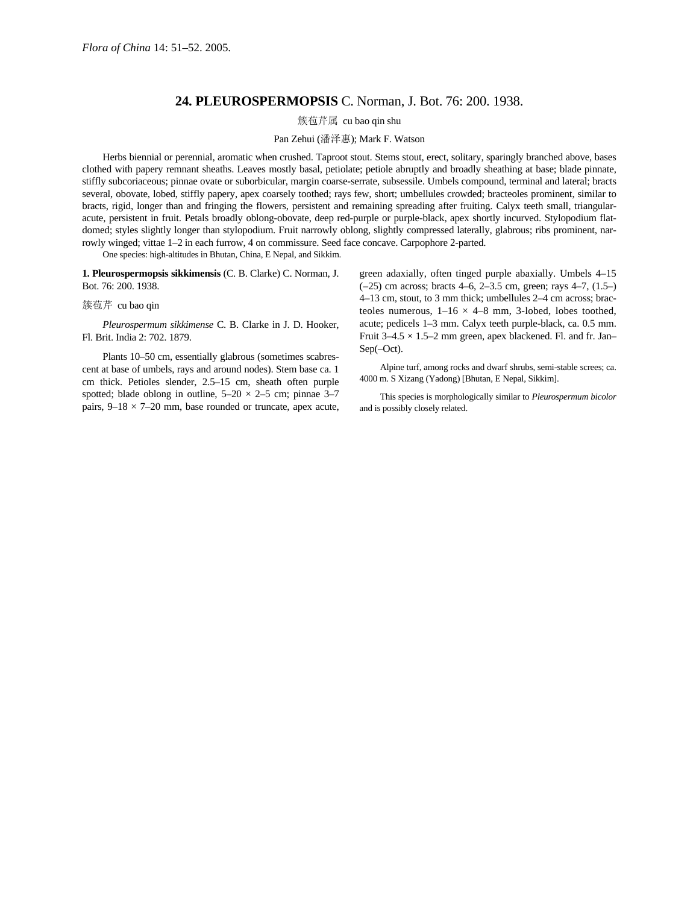## **24. PLEUROSPERMOPSIS** C. Norman, J. Bot. 76: 200. 1938.

簇苞芹属 cu bao qin shu

## Pan Zehui (潘泽惠); Mark F. Watson

Herbs biennial or perennial, aromatic when crushed. Taproot stout. Stems stout, erect, solitary, sparingly branched above, bases clothed with papery remnant sheaths. Leaves mostly basal, petiolate; petiole abruptly and broadly sheathing at base; blade pinnate, stiffly subcoriaceous; pinnae ovate or suborbicular, margin coarse-serrate, subsessile. Umbels compound, terminal and lateral; bracts several, obovate, lobed, stiffly papery, apex coarsely toothed; rays few, short; umbellules crowded; bracteoles prominent, similar to bracts, rigid, longer than and fringing the flowers, persistent and remaining spreading after fruiting. Calyx teeth small, triangularacute, persistent in fruit. Petals broadly oblong-obovate, deep red-purple or purple-black, apex shortly incurved. Stylopodium flatdomed; styles slightly longer than stylopodium. Fruit narrowly oblong, slightly compressed laterally, glabrous; ribs prominent, narrowly winged; vittae 1–2 in each furrow, 4 on commissure. Seed face concave. Carpophore 2-parted.

One species: high-altitudes in Bhutan, China, E Nepal, and Sikkim.

**1. Pleurospermopsis sikkimensis** (C. B. Clarke) C. Norman, J. Bot. 76: 200. 1938.

## 簇苞芹 cu bao qin

*Pleurospermum sikkimense* C. B. Clarke in J. D. Hooker, Fl. Brit. India 2: 702. 1879.

Plants 10–50 cm, essentially glabrous (sometimes scabrescent at base of umbels, rays and around nodes). Stem base ca. 1 cm thick. Petioles slender, 2.5–15 cm, sheath often purple spotted; blade oblong in outline,  $5-20 \times 2-5$  cm; pinnae 3-7 pairs,  $9-18 \times 7-20$  mm, base rounded or truncate, apex acute, green adaxially, often tinged purple abaxially. Umbels 4–15 (–25) cm across; bracts 4–6, 2–3.5 cm, green; rays 4–7, (1.5–) 4–13 cm, stout, to 3 mm thick; umbellules 2–4 cm across; bracteoles numerous,  $1-16 \times 4-8$  mm, 3-lobed, lobes toothed, acute; pedicels 1–3 mm. Calyx teeth purple-black, ca. 0.5 mm. Fruit  $3-4.5 \times 1.5-2$  mm green, apex blackened. Fl. and fr. Jan– Sep(–Oct).

Alpine turf, among rocks and dwarf shrubs, semi-stable screes; ca. 4000 m. S Xizang (Yadong) [Bhutan, E Nepal, Sikkim].

This species is morphologically similar to *Pleurospermum bicolor* and is possibly closely related.